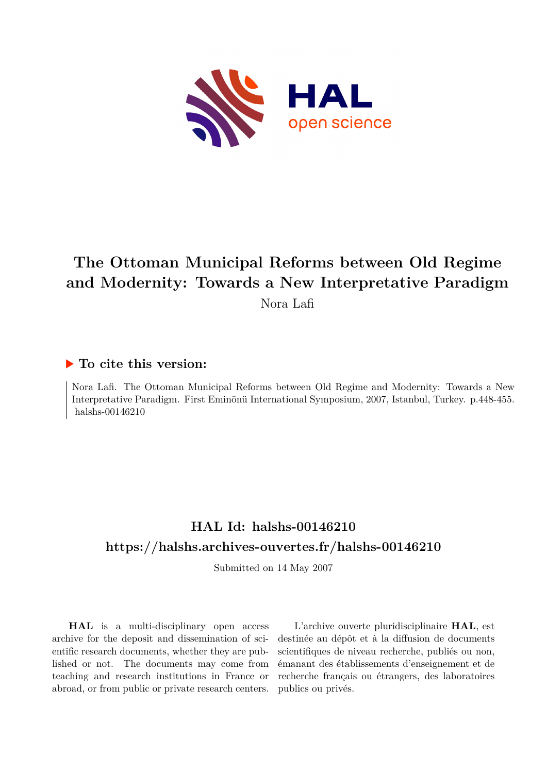

# **The Ottoman Municipal Reforms between Old Regime and Modernity: Towards a New Interpretative Paradigm**

Nora Lafi

### **To cite this version:**

Nora Lafi. The Ottoman Municipal Reforms between Old Regime and Modernity: Towards a New Interpretative Paradigm. First Eminönü International Symposium, 2007, Istanbul, Turkey. p.448-455. halshs-00146210

## **HAL Id: halshs-00146210 <https://halshs.archives-ouvertes.fr/halshs-00146210>**

Submitted on 14 May 2007

**HAL** is a multi-disciplinary open access archive for the deposit and dissemination of scientific research documents, whether they are published or not. The documents may come from teaching and research institutions in France or abroad, or from public or private research centers.

L'archive ouverte pluridisciplinaire **HAL**, est destinée au dépôt et à la diffusion de documents scientifiques de niveau recherche, publiés ou non, émanant des établissements d'enseignement et de recherche français ou étrangers, des laboratoires publics ou privés.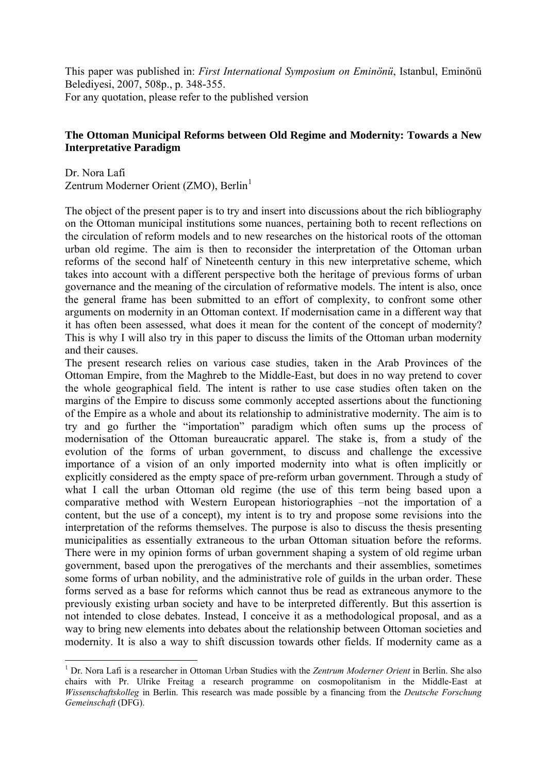This paper was published in: *First International Symposium on Eminönü*, Istanbul, Eminönü Belediyesi, 2007, 508p., p. 348-355. For any quotation, please refer to the published version

#### **The Ottoman Municipal Reforms between Old Regime and Modernity: Towards a New Interpretative Paradigm**

Dr. Nora Lafi Zentrum Moderner Orient (ZMO), Berlin<sup>[1](#page-1-0)</sup>

1

The object of the present paper is to try and insert into discussions about the rich bibliography on the Ottoman municipal institutions some nuances, pertaining both to recent reflections on the circulation of reform models and to new researches on the historical roots of the ottoman urban old regime. The aim is then to reconsider the interpretation of the Ottoman urban reforms of the second half of Nineteenth century in this new interpretative scheme, which takes into account with a different perspective both the heritage of previous forms of urban governance and the meaning of the circulation of reformative models. The intent is also, once the general frame has been submitted to an effort of complexity, to confront some other arguments on modernity in an Ottoman context. If modernisation came in a different way that it has often been assessed, what does it mean for the content of the concept of modernity? This is why I will also try in this paper to discuss the limits of the Ottoman urban modernity and their causes.

The present research relies on various case studies, taken in the Arab Provinces of the Ottoman Empire, from the Maghreb to the Middle-East, but does in no way pretend to cover the whole geographical field. The intent is rather to use case studies often taken on the margins of the Empire to discuss some commonly accepted assertions about the functioning of the Empire as a whole and about its relationship to administrative modernity. The aim is to try and go further the "importation" paradigm which often sums up the process of modernisation of the Ottoman bureaucratic apparel. The stake is, from a study of the evolution of the forms of urban government, to discuss and challenge the excessive importance of a vision of an only imported modernity into what is often implicitly or explicitly considered as the empty space of pre-reform urban government. Through a study of what I call the urban Ottoman old regime (the use of this term being based upon a comparative method with Western European historiographies –not the importation of a content, but the use of a concept), my intent is to try and propose some revisions into the interpretation of the reforms themselves. The purpose is also to discuss the thesis presenting municipalities as essentially extraneous to the urban Ottoman situation before the reforms. There were in my opinion forms of urban government shaping a system of old regime urban government, based upon the prerogatives of the merchants and their assemblies, sometimes some forms of urban nobility, and the administrative role of guilds in the urban order. These forms served as a base for reforms which cannot thus be read as extraneous anymore to the previously existing urban society and have to be interpreted differently. But this assertion is not intended to close debates. Instead, I conceive it as a methodological proposal, and as a way to bring new elements into debates about the relationship between Ottoman societies and modernity. It is also a way to shift discussion towards other fields. If modernity came as a

<span id="page-1-0"></span><sup>&</sup>lt;sup>1</sup> Dr. Nora Lafi is a researcher in Ottoman Urban Studies with the *Zentrum Moderner Orient* in Berlin. She also chairs with Pr. Ulrike Freitag a research programme on cosmopolitanism in the Middle-East at *Wissenschaftskolleg* in Berlin. This research was made possible by a financing from the *Deutsche Forschung Gemeinschaft* (DFG).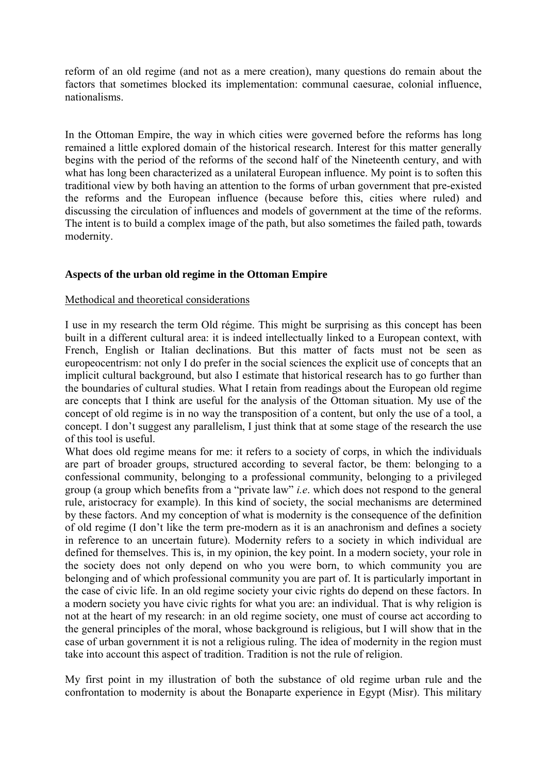reform of an old regime (and not as a mere creation), many questions do remain about the factors that sometimes blocked its implementation: communal caesurae, colonial influence, nationalisms.

In the Ottoman Empire, the way in which cities were governed before the reforms has long remained a little explored domain of the historical research. Interest for this matter generally begins with the period of the reforms of the second half of the Nineteenth century, and with what has long been characterized as a unilateral European influence. My point is to soften this traditional view by both having an attention to the forms of urban government that pre-existed the reforms and the European influence (because before this, cities where ruled) and discussing the circulation of influences and models of government at the time of the reforms. The intent is to build a complex image of the path, but also sometimes the failed path, towards modernity.

#### **Aspects of the urban old regime in the Ottoman Empire**

#### Methodical and theoretical considerations

I use in my research the term Old régime. This might be surprising as this concept has been built in a different cultural area: it is indeed intellectually linked to a European context, with French, English or Italian declinations. But this matter of facts must not be seen as europeocentrism: not only I do prefer in the social sciences the explicit use of concepts that an implicit cultural background, but also I estimate that historical research has to go further than the boundaries of cultural studies. What I retain from readings about the European old regime are concepts that I think are useful for the analysis of the Ottoman situation. My use of the concept of old regime is in no way the transposition of a content, but only the use of a tool, a concept. I don't suggest any parallelism, I just think that at some stage of the research the use of this tool is useful.

What does old regime means for me: it refers to a society of corps, in which the individuals are part of broader groups, structured according to several factor, be them: belonging to a confessional community, belonging to a professional community, belonging to a privileged group (a group which benefits from a "private law" *i.e*. which does not respond to the general rule, aristocracy for example). In this kind of society, the social mechanisms are determined by these factors. And my conception of what is modernity is the consequence of the definition of old regime (I don't like the term pre-modern as it is an anachronism and defines a society in reference to an uncertain future). Modernity refers to a society in which individual are defined for themselves. This is, in my opinion, the key point. In a modern society, your role in the society does not only depend on who you were born, to which community you are belonging and of which professional community you are part of. It is particularly important in the case of civic life. In an old regime society your civic rights do depend on these factors. In a modern society you have civic rights for what you are: an individual. That is why religion is not at the heart of my research: in an old regime society, one must of course act according to the general principles of the moral, whose background is religious, but I will show that in the case of urban government it is not a religious ruling. The idea of modernity in the region must take into account this aspect of tradition. Tradition is not the rule of religion.

My first point in my illustration of both the substance of old regime urban rule and the confrontation to modernity is about the Bonaparte experience in Egypt (Misr). This military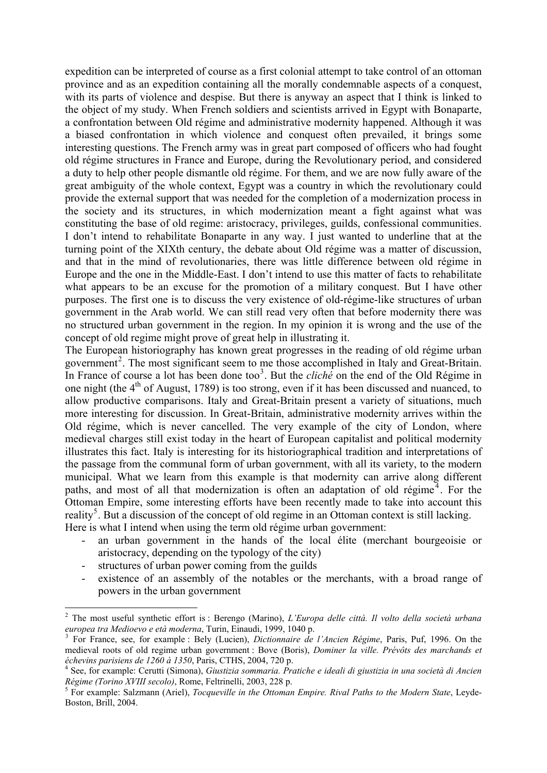expedition can be interpreted of course as a first colonial attempt to take control of an ottoman province and as an expedition containing all the morally condemnable aspects of a conquest, with its parts of violence and despise. But there is anyway an aspect that I think is linked to the object of my study. When French soldiers and scientists arrived in Egypt with Bonaparte, a confrontation between Old régime and administrative modernity happened. Although it was a biased confrontation in which violence and conquest often prevailed, it brings some interesting questions. The French army was in great part composed of officers who had fought old régime structures in France and Europe, during the Revolutionary period, and considered a duty to help other people dismantle old régime. For them, and we are now fully aware of the great ambiguity of the whole context, Egypt was a country in which the revolutionary could provide the external support that was needed for the completion of a modernization process in the society and its structures, in which modernization meant a fight against what was constituting the base of old regime: aristocracy, privileges, guilds, confessional communities. I don't intend to rehabilitate Bonaparte in any way. I just wanted to underline that at the turning point of the XIXth century, the debate about Old régime was a matter of discussion, and that in the mind of revolutionaries, there was little difference between old régime in Europe and the one in the Middle-East. I don't intend to use this matter of facts to rehabilitate what appears to be an excuse for the promotion of a military conquest. But I have other purposes. The first one is to discuss the very existence of old-régime-like structures of urban government in the Arab world. We can still read very often that before modernity there was no structured urban government in the region. In my opinion it is wrong and the use of the concept of old regime might prove of great help in illustrating it.

The European historiography has known great progresses in the reading of old régime urban government<sup>[2](#page-3-0)</sup>. The most significant seem to me those accomplished in Italy and Great-Britain. In France of course a lot has been done too<sup>[3](#page-3-1)</sup>. But the *cliché* on the end of the Old Régime in one night (the  $4<sup>th</sup>$  of August, 1789) is too strong, even if it has been discussed and nuanced, to allow productive comparisons. Italy and Great-Britain present a variety of situations, much more interesting for discussion. In Great-Britain, administrative modernity arrives within the Old régime, which is never cancelled. The very example of the city of London, where medieval charges still exist today in the heart of European capitalist and political modernity illustrates this fact. Italy is interesting for its historiographical tradition and interpretations of the passage from the communal form of urban government, with all its variety, to the modern municipal. What we learn from this example is that modernity can arrive along different paths, and most of all that modernization is often an adaptation of old régime<sup>[4](#page-3-2)</sup>. For the Ottoman Empire, some interesting efforts have been recently made to take into account this reality<sup>[5](#page-3-3)</sup>. But a discussion of the concept of old regime in an Ottoman context is still lacking. Here is what I intend when using the term old régime urban government:

- an urban government in the hands of the local élite (merchant bourgeoisie or aristocracy, depending on the typology of the city)
- structures of urban power coming from the guilds

1

existence of an assembly of the notables or the merchants, with a broad range of powers in the urban government

<span id="page-3-0"></span><sup>2</sup> The most useful synthetic effort is : Berengo (Marino), *L'Europa delle città. Il volto della società urbana europea tra Medioevo e età moderna*, Turin, Einaudi, 1999, 1040 p.

<span id="page-3-1"></span>For France, see, for example : Bely (Lucien), *Dictionnaire de l'Ancien Régime*, Paris, Puf, 1996. On the medieval roots of old regime urban government : Bove (Boris), *Dominer la ville. Prévôts des marchands et échevins parisiens de 1260 à 1350*, Paris, CTHS, 2004, 720 p. 4

<span id="page-3-2"></span>See, for example: Cerutti (Simona), *Giustizia sommaria. Pratiche e ideali di giustizia in una società di Ancien Régime (Torino XVIII secolo)*, Rome, Feltrinelli, 2003, 228 p.

<span id="page-3-3"></span>For example: Salzmann (Ariel), *Tocqueville in the Ottoman Empire. Rival Paths to the Modern State*, Leyde-Boston, Brill, 2004.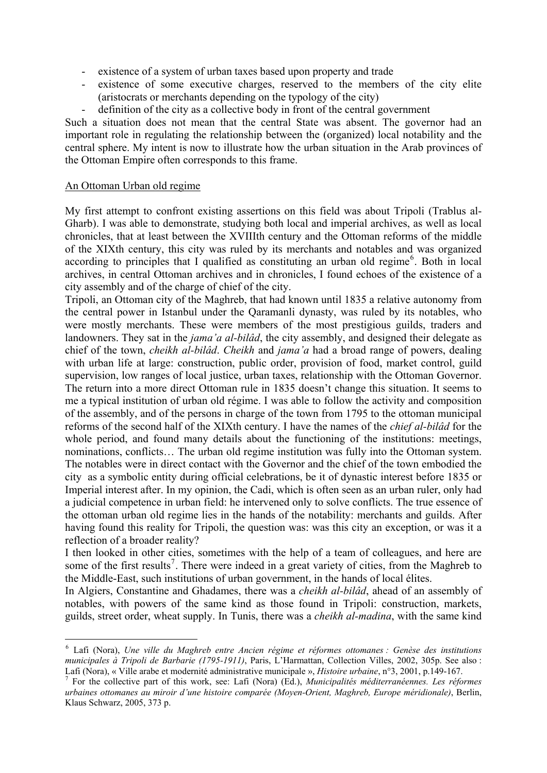- existence of a system of urban taxes based upon property and trade
- existence of some executive charges, reserved to the members of the city elite (aristocrats or merchants depending on the typology of the city)
- definition of the city as a collective body in front of the central government

Such a situation does not mean that the central State was absent. The governor had an important role in regulating the relationship between the (organized) local notability and the central sphere. My intent is now to illustrate how the urban situation in the Arab provinces of the Ottoman Empire often corresponds to this frame.

#### An Ottoman Urban old regime

1

My first attempt to confront existing assertions on this field was about Tripoli (Trablus al-Gharb). I was able to demonstrate, studying both local and imperial archives, as well as local chronicles, that at least between the XVIIIth century and the Ottoman reforms of the middle of the XIXth century, this city was ruled by its merchants and notables and was organized according to principles that I qualified as constituting an urban old regime<sup>[6](#page-4-0)</sup>. Both in local archives, in central Ottoman archives and in chronicles, I found echoes of the existence of a city assembly and of the charge of chief of the city.

Tripoli, an Ottoman city of the Maghreb, that had known until 1835 a relative autonomy from the central power in Istanbul under the Qaramanli dynasty, was ruled by its notables, who were mostly merchants. These were members of the most prestigious guilds, traders and landowners. They sat in the *jama'a al-bilâd*, the city assembly, and designed their delegate as chief of the town, *cheikh al-bilâd*. *Cheikh* and *jama'a* had a broad range of powers, dealing with urban life at large: construction, public order, provision of food, market control, guild supervision, low ranges of local justice, urban taxes, relationship with the Ottoman Governor. The return into a more direct Ottoman rule in 1835 doesn't change this situation. It seems to me a typical institution of urban old régime. I was able to follow the activity and composition of the assembly, and of the persons in charge of the town from 1795 to the ottoman municipal reforms of the second half of the XIXth century. I have the names of the *chief al-bilâd* for the whole period, and found many details about the functioning of the institutions: meetings, nominations, conflicts… The urban old regime institution was fully into the Ottoman system. The notables were in direct contact with the Governor and the chief of the town embodied the city as a symbolic entity during official celebrations, be it of dynastic interest before 1835 or Imperial interest after. In my opinion, the Cadi, which is often seen as an urban ruler, only had a judicial competence in urban field: he intervened only to solve conflicts. The true essence of the ottoman urban old regime lies in the hands of the notability: merchants and guilds. After having found this reality for Tripoli, the question was: was this city an exception, or was it a reflection of a broader reality?

I then looked in other cities, sometimes with the help of a team of colleagues, and here are some of the first results<sup>[7](#page-4-1)</sup>. There were indeed in a great variety of cities, from the Maghreb to the Middle-East, such institutions of urban government, in the hands of local élites.

In Algiers, Constantine and Ghadames, there was a *cheikh al-bilâd*, ahead of an assembly of notables, with powers of the same kind as those found in Tripoli: construction, markets, guilds, street order, wheat supply. In Tunis, there was a *cheikh al-madina*, with the same kind

<span id="page-4-0"></span><sup>6</sup> Lafi (Nora), *Une ville du Maghreb entre Ancien régime et réformes ottomanes : Genèse des institutions municipales à Tripoli de Barbarie (1795-1911)*, Paris, L'Harmattan, Collection Villes, 2002, 305p. See also : Lafi (Nora), « Ville arabe et modernité administrative municipale », *Histoire urbaine*, n°3, 2001, p.149-167.

<span id="page-4-1"></span>For the collective part of this work, see: Lafi (Nora) (Ed.), *Municipalités méditerranéennes. Les réformes urbaines ottomanes au miroir d'une histoire comparée (Moyen-Orient, Maghreb, Europe méridionale)*, Berlin, Klaus Schwarz, 2005, 373 p.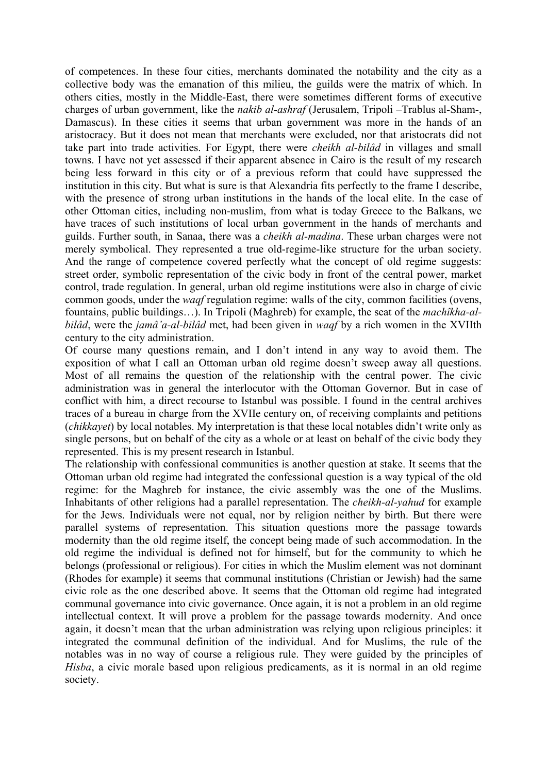of competences. In these four cities, merchants dominated the notability and the city as a collective body was the emanation of this milieu, the guilds were the matrix of which. In others cities, mostly in the Middle-East, there were sometimes different forms of executive charges of urban government, like the *nakib al-ashraf* (Jerusalem, Tripoli –Trablus al-Sham-, Damascus). In these cities it seems that urban government was more in the hands of an aristocracy. But it does not mean that merchants were excluded, nor that aristocrats did not take part into trade activities. For Egypt, there were *cheikh al-bilâd* in villages and small towns. I have not yet assessed if their apparent absence in Cairo is the result of my research being less forward in this city or of a previous reform that could have suppressed the institution in this city. But what is sure is that Alexandria fits perfectly to the frame I describe, with the presence of strong urban institutions in the hands of the local elite. In the case of other Ottoman cities, including non-muslim, from what is today Greece to the Balkans, we have traces of such institutions of local urban government in the hands of merchants and guilds. Further south, in Sanaa, there was a *cheikh al-madina*. These urban charges were not merely symbolical. They represented a true old-regime-like structure for the urban society. And the range of competence covered perfectly what the concept of old regime suggests: street order, symbolic representation of the civic body in front of the central power, market control, trade regulation. In general, urban old regime institutions were also in charge of civic common goods, under the *waqf* regulation regime: walls of the city, common facilities (ovens, fountains, public buildings…). In Tripoli (Maghreb) for example, the seat of the *machîkha-albilâd*, were the *jamâ'a-al-bilâd* met, had been given in *waqf* by a rich women in the XVIIth century to the city administration.

Of course many questions remain, and I don't intend in any way to avoid them. The exposition of what I call an Ottoman urban old regime doesn't sweep away all questions. Most of all remains the question of the relationship with the central power. The civic administration was in general the interlocutor with the Ottoman Governor. But in case of conflict with him, a direct recourse to Istanbul was possible. I found in the central archives traces of a bureau in charge from the XVIIe century on, of receiving complaints and petitions (*chikkayet*) by local notables. My interpretation is that these local notables didn't write only as single persons, but on behalf of the city as a whole or at least on behalf of the civic body they represented. This is my present research in Istanbul.

The relationship with confessional communities is another question at stake. It seems that the Ottoman urban old regime had integrated the confessional question is a way typical of the old regime: for the Maghreb for instance, the civic assembly was the one of the Muslims. Inhabitants of other religions had a parallel representation. The *cheikh-al-yahud* for example for the Jews. Individuals were not equal, nor by religion neither by birth. But there were parallel systems of representation. This situation questions more the passage towards modernity than the old regime itself, the concept being made of such accommodation. In the old regime the individual is defined not for himself, but for the community to which he belongs (professional or religious). For cities in which the Muslim element was not dominant (Rhodes for example) it seems that communal institutions (Christian or Jewish) had the same civic role as the one described above. It seems that the Ottoman old regime had integrated communal governance into civic governance. Once again, it is not a problem in an old regime intellectual context. It will prove a problem for the passage towards modernity. And once again, it doesn't mean that the urban administration was relying upon religious principles: it integrated the communal definition of the individual. And for Muslims, the rule of the notables was in no way of course a religious rule. They were guided by the principles of *Hisba*, a civic morale based upon religious predicaments, as it is normal in an old regime society.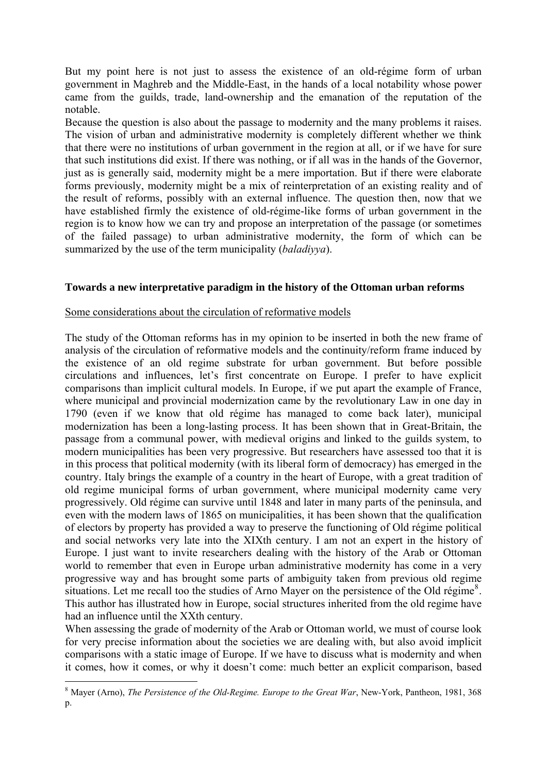But my point here is not just to assess the existence of an old-régime form of urban government in Maghreb and the Middle-East, in the hands of a local notability whose power came from the guilds, trade, land-ownership and the emanation of the reputation of the notable.

Because the question is also about the passage to modernity and the many problems it raises. The vision of urban and administrative modernity is completely different whether we think that there were no institutions of urban government in the region at all, or if we have for sure that such institutions did exist. If there was nothing, or if all was in the hands of the Governor, just as is generally said, modernity might be a mere importation. But if there were elaborate forms previously, modernity might be a mix of reinterpretation of an existing reality and of the result of reforms, possibly with an external influence. The question then, now that we have established firmly the existence of old-régime-like forms of urban government in the region is to know how we can try and propose an interpretation of the passage (or sometimes of the failed passage) to urban administrative modernity, the form of which can be summarized by the use of the term municipality (*baladiyya*).

#### **Towards a new interpretative paradigm in the history of the Ottoman urban reforms**

#### Some considerations about the circulation of reformative models

The study of the Ottoman reforms has in my opinion to be inserted in both the new frame of analysis of the circulation of reformative models and the continuity/reform frame induced by the existence of an old regime substrate for urban government. But before possible circulations and influences, let's first concentrate on Europe. I prefer to have explicit comparisons than implicit cultural models. In Europe, if we put apart the example of France, where municipal and provincial modernization came by the revolutionary Law in one day in 1790 (even if we know that old régime has managed to come back later), municipal modernization has been a long-lasting process. It has been shown that in Great-Britain, the passage from a communal power, with medieval origins and linked to the guilds system, to modern municipalities has been very progressive. But researchers have assessed too that it is in this process that political modernity (with its liberal form of democracy) has emerged in the country. Italy brings the example of a country in the heart of Europe, with a great tradition of old regime municipal forms of urban government, where municipal modernity came very progressively. Old régime can survive until 1848 and later in many parts of the peninsula, and even with the modern laws of 1865 on municipalities, it has been shown that the qualification of electors by property has provided a way to preserve the functioning of Old régime political and social networks very late into the XIXth century. I am not an expert in the history of Europe. I just want to invite researchers dealing with the history of the Arab or Ottoman world to remember that even in Europe urban administrative modernity has come in a very progressive way and has brought some parts of ambiguity taken from previous old regime situations. Let me recall too the studies of Arno Mayer on the persistence of the Old régime<sup>[8](#page-6-0)</sup>. This author has illustrated how in Europe, social structures inherited from the old regime have had an influence until the XXth century.

When assessing the grade of modernity of the Arab or Ottoman world, we must of course look for very precise information about the societies we are dealing with, but also avoid implicit comparisons with a static image of Europe. If we have to discuss what is modernity and when it comes, how it comes, or why it doesn't come: much better an explicit comparison, based

1

<span id="page-6-0"></span><sup>8</sup> Mayer (Arno), *The Persistence of the Old-Regime. Europe to the Great War*, New-York, Pantheon, 1981, 368 p.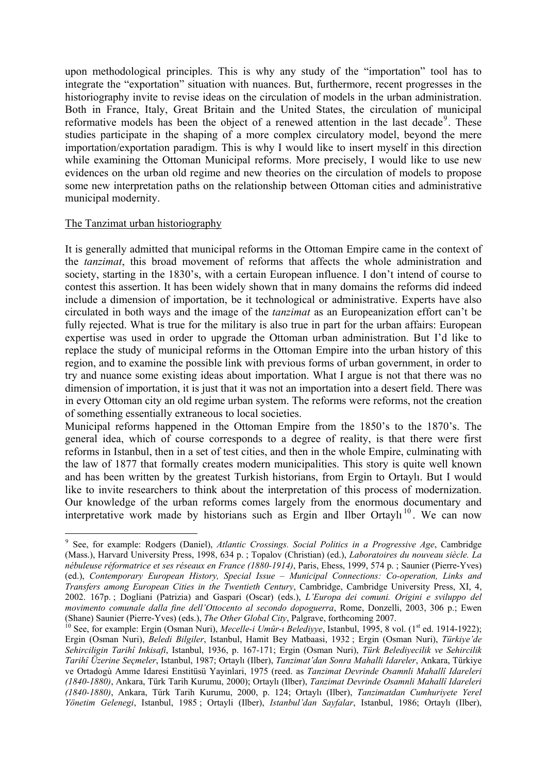upon methodological principles. This is why any study of the "importation" tool has to integrate the "exportation" situation with nuances. But, furthermore, recent progresses in the historiography invite to revise ideas on the circulation of models in the urban administration. Both in France, Italy, Great Britain and the United States, the circulation of municipal reformative models has been the object of a renewed attention in the last decade<sup>[9](#page-7-0)</sup>. These studies participate in the shaping of a more complex circulatory model, beyond the mere importation/exportation paradigm. This is why I would like to insert myself in this direction while examining the Ottoman Municipal reforms. More precisely, I would like to use new evidences on the urban old regime and new theories on the circulation of models to propose some new interpretation paths on the relationship between Ottoman cities and administrative municipal modernity.

#### The Tanzimat urban historiography

1

It is generally admitted that municipal reforms in the Ottoman Empire came in the context of the *tanzimat*, this broad movement of reforms that affects the whole administration and society, starting in the 1830's, with a certain European influence. I don't intend of course to contest this assertion. It has been widely shown that in many domains the reforms did indeed include a dimension of importation, be it technological or administrative. Experts have also circulated in both ways and the image of the *tanzimat* as an Europeanization effort can't be fully rejected. What is true for the military is also true in part for the urban affairs: European expertise was used in order to upgrade the Ottoman urban administration. But I'd like to replace the study of municipal reforms in the Ottoman Empire into the urban history of this region, and to examine the possible link with previous forms of urban government, in order to try and nuance some existing ideas about importation. What I argue is not that there was no dimension of importation, it is just that it was not an importation into a desert field. There was in every Ottoman city an old regime urban system. The reforms were reforms, not the creation of something essentially extraneous to local societies.

Municipal reforms happened in the Ottoman Empire from the 1850's to the 1870's. The general idea, which of course corresponds to a degree of reality, is that there were first reforms in Istanbul, then in a set of test cities, and then in the whole Empire, culminating with the law of 1877 that formally creates modern municipalities. This story is quite well known and has been written by the greatest Turkish historians, from Ergin to Ortaylı. But I would like to invite researchers to think about the interpretation of this process of modernization. Our knowledge of the urban reforms comes largely from the enormous documentary and interpretative work made by historians such as Ergin and Ilber Ortaylu<sup>[10](#page-7-1)</sup>. We can now

<span id="page-7-0"></span><sup>9</sup> See, for example: Rodgers (Daniel), *Atlantic Crossings. Social Politics in a Progressive Age*, Cambridge (Mass.), Harvard University Press, 1998, 634 p. ; Topalov (Christian) (ed.), *Laboratoires du nouveau siècle. La nébuleuse réformatrice et ses réseaux en France (1880-1914)*, Paris, Ehess, 1999, 574 p. ; Saunier (Pierre-Yves) (ed.), *Contemporary European History, Special Issue – Municipal Connections: Co-operation, Links and Transfers among European Cities in the Twentieth Century*, Cambridge, Cambridge University Press, XI, 4, 2002. 167p. ; Dogliani (Patrizia) and Gaspari (Oscar) (eds.), *L'Europa dei comuni. Origini e sviluppo del movimento comunale dalla fine dell'Ottocento al secondo dopoguerra*, Rome, Donzelli, 2003, 306 p.; Ewen (Shane) Saunier (Pierre-Yves) (eds.), *The Other Global City*, Palgrave, forthcoming 2007.

<span id="page-7-1"></span><sup>&</sup>lt;sup>10</sup> See, for example: Ergin (Osman Nuri), *Mecelle-i Umûr-ı Belediyye*, Istanbul, 1995, 8 vol. (1<sup>st</sup> ed. 1914-1922); Ergin (Osman Nuri), *Beledi Bilgiler*, Istanbul, Hamit Bey Matbaasi, 1932 ; Ergin (Osman Nuri), *Türkiye'de Sehirciligin Tarihî Inkisafi*, Istanbul, 1936, p. 167-171; Ergin (Osman Nuri), *Türk Belediyecilik ve Sehircilik Tarihî Üzerine Seçmeler*, Istanbul, 1987; Ortaylı (Ilber), *Tanzimat'dan Sonra Mahalli Idareler*, Ankara, Türkiye ve Ortadogù Amme Idaresi Enstitüsü Yayinlari, 1975 (reed. as *Tanzimat Devrinde Osamnli Mahallî Idareleri (1840-1880)*, Ankara, Türk Tarih Kurumu, 2000); Ortaylı (Ilber), *Tanzimat Devrinde Osamnli Mahallî Idareleri (1840-1880)*, Ankara, Türk Tarih Kurumu, 2000, p. 124; Ortaylı (Ilber), *Tanzimatdan Cumhuriyete Yerel Yönetim Gelenegi*, Istanbul, 1985 ; Ortayli (Ilber), *Istanbul'dan Sayfalar*, Istanbul, 1986; Ortaylı (Ilber),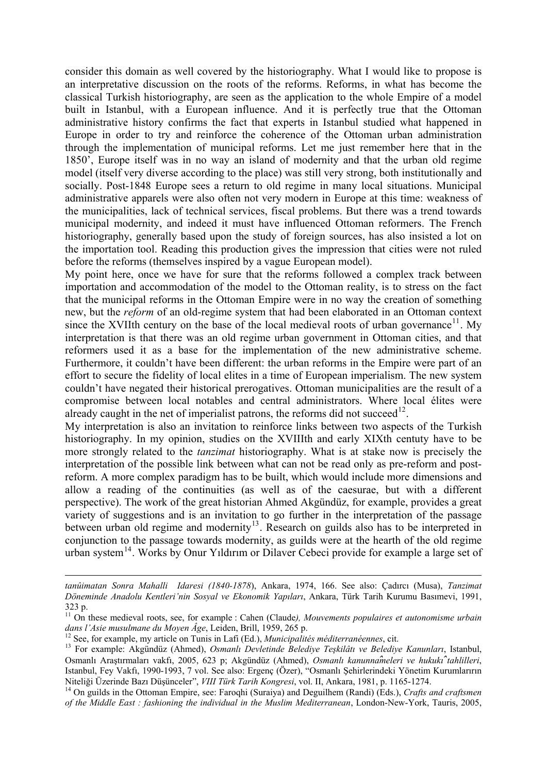consider this domain as well covered by the historiography. What I would like to propose is an interpretative discussion on the roots of the reforms. Reforms, in what has become the classical Turkish historiography, are seen as the application to the whole Empire of a model built in Istanbul, with a European influence. And it is perfectly true that the Ottoman administrative history confirms the fact that experts in Istanbul studied what happened in Europe in order to try and reinforce the coherence of the Ottoman urban administration through the implementation of municipal reforms. Let me just remember here that in the 1850', Europe itself was in no way an island of modernity and that the urban old regime model (itself very diverse according to the place) was still very strong, both institutionally and socially. Post-1848 Europe sees a return to old regime in many local situations. Municipal administrative apparels were also often not very modern in Europe at this time: weakness of the municipalities, lack of technical services, fiscal problems. But there was a trend towards municipal modernity, and indeed it must have influenced Ottoman reformers. The French historiography, generally based upon the study of foreign sources, has also insisted a lot on the importation tool. Reading this production gives the impression that cities were not ruled before the reforms (themselves inspired by a vague European model).

My point here, once we have for sure that the reforms followed a complex track between importation and accommodation of the model to the Ottoman reality, is to stress on the fact that the municipal reforms in the Ottoman Empire were in no way the creation of something new, but the *reform* of an old-regime system that had been elaborated in an Ottoman context since the XVIIth century on the base of the local medieval roots of urban governance<sup>[11](#page-8-0)</sup>. My interpretation is that there was an old regime urban government in Ottoman cities, and that reformers used it as a base for the implementation of the new administrative scheme. Furthermore, it couldn't have been different: the urban reforms in the Empire were part of an effort to secure the fidelity of local elites in a time of European imperialism. The new system couldn't have negated their historical prerogatives. Ottoman municipalities are the result of a compromise between local notables and central administrators. Where local élites were already caught in the net of imperialist patrons, the reforms did not succeed<sup>[12](#page-8-1)</sup>.

My interpretation is also an invitation to reinforce links between two aspects of the Turkish historiography. In my opinion, studies on the XVIIIth and early XIXth centuty have to be more strongly related to the *tanzimat* historiography. What is at stake now is precisely the interpretation of the possible link between what can not be read only as pre-reform and postreform. A more complex paradigm has to be built, which would include more dimensions and allow a reading of the continuities (as well as of the caesurae, but with a different perspective). The work of the great historian Ahmed Akgündüz, for example, provides a great variety of suggestions and is an invitation to go further in the interpretation of the passage between urban old regime and modernity<sup>[13](#page-8-2)</sup>. Research on guilds also has to be interpreted in conjunction to the passage towards modernity, as guilds were at the hearth of the old regime urban system<sup>[14](#page-8-3)</sup>. Works by Onur Yıldırım or Dilaver Cebeci provide for example a large set of

1

*tanûimatan Sonra Mahalli Idaresi (1840-1878*), Ankara, 1974, 166. See also: Çadırcı (Musa), *Tanzimat Döneminde Anadolu Kentleri'nin Sosyal ve Ekonomik Yapıları*, Ankara, Türk Tarih Kurumu Basımevi, 1991, 323 p.

<span id="page-8-0"></span><sup>&</sup>lt;sup>11</sup> On these medieval roots, see, for example : Cahen (Claude), Mouvements populaires et autonomisme urbain dans l'Asie musulmane du Moven Âge, Leiden, Brill, 1959, 265 p.

<span id="page-8-2"></span><span id="page-8-1"></span><sup>&</sup>lt;sup>12</sup> See, for example, my article on Tunis in Lafi (Ed.), *Municipalités méditerranéennes*, cit.<br><sup>13</sup> For example: Akgündüz (Ahmed), *Osmanlı Devletinde Belediye Teşkilâtı ve Belediye Kanunları*, Istanbul, Osmanlı Araştırmaları vakfı, 2005, 623 p; Akgündüz (Ahmed), *Osmanlı kanunna*̂*meleri ve hukukı*̂ *tahlilleri*, Istanbul, Fey Vakfı, 1990-1993, 7 vol. See also: Ergenç (Özer), "Osmanlı Şehirlerindeki Yönetim Kurumlarırın Niteliği Üzerinde Bazı Düşünceler", *VIII Türk Tarih Kongresi*, vol. II, Ankara, 1981, p. 1165-1274.<br><sup>14</sup> On guilds in the Ottoman Empire, see: Faroqhi (Suraiya) and Deguilhem (Randi) (Eds.), *Crafts and craftsmen* 

<span id="page-8-3"></span>*of the Middle East : fashioning the individual in the Muslim Mediterranean*, London-New-York, Tauris, 2005,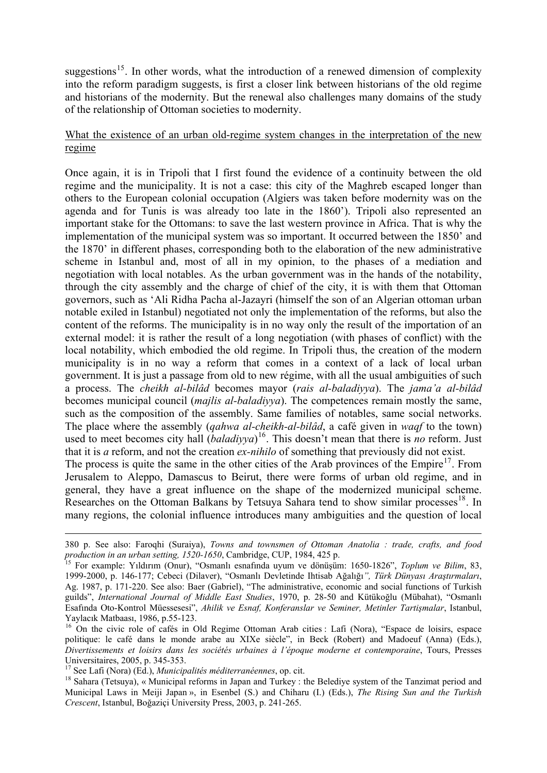suggestions<sup>[15](#page-9-0)</sup>. In other words, what the introduction of a renewed dimension of complexity into the reform paradigm suggests, is first a closer link between historians of the old regime and historians of the modernity. But the renewal also challenges many domains of the study of the relationship of Ottoman societies to modernity.

#### What the existence of an urban old-regime system changes in the interpretation of the new regime

Once again, it is in Tripoli that I first found the evidence of a continuity between the old regime and the municipality. It is not a case: this city of the Maghreb escaped longer than others to the European colonial occupation (Algiers was taken before modernity was on the agenda and for Tunis is was already too late in the 1860'). Tripoli also represented an important stake for the Ottomans: to save the last western province in Africa. That is why the implementation of the municipal system was so important. It occurred between the 1850' and the 1870' in different phases, corresponding both to the elaboration of the new administrative scheme in Istanbul and, most of all in my opinion, to the phases of a mediation and negotiation with local notables. As the urban government was in the hands of the notability, through the city assembly and the charge of chief of the city, it is with them that Ottoman governors, such as 'Ali Ridha Pacha al-Jazayri (himself the son of an Algerian ottoman urban notable exiled in Istanbul) negotiated not only the implementation of the reforms, but also the content of the reforms. The municipality is in no way only the result of the importation of an external model: it is rather the result of a long negotiation (with phases of conflict) with the local notability, which embodied the old regime. In Tripoli thus, the creation of the modern municipality is in no way a reform that comes in a context of a lack of local urban government. It is just a passage from old to new régime, with all the usual ambiguities of such a process. The *cheikh al-bilâd* becomes mayor (*rais al-baladiyya*). The *jama'a al-bilâd* becomes municipal council (*majlis al-baladiyya*). The competences remain mostly the same, such as the composition of the assembly. Same families of notables, same social networks. The place where the assembly (*qahwa al-cheikh-al-bilâd*, a café given in *waqf* to the town) used to meet becomes city hall (*baladiyya*) [16](#page-9-1). This doesn't mean that there is *no* reform. Just that it is *a* reform, and not the creation *ex-nihilo* of something that previously did not exist. The process is quite the same in the other cities of the Arab provinces of the Empire<sup>[17](#page-9-2)</sup>. From Jerusalem to Aleppo, Damascus to Beirut, there were forms of urban old regime, and in general, they have a great influence on the shape of the modernized municipal scheme. Researches on the Ottoman Balkans by Tetsuya Sahara tend to show similar processes<sup>[18](#page-9-3)</sup>. In

many regions, the colonial influence introduces many ambiguities and the question of local

 <sup>380</sup> p. See also: Faroqhi (Suraiya), *Towns and townsmen of Ottoman Anatolia : trade, crafts, and food production in an urban setting, 1520-1650*, Cambridge, CUP, 1984, 425 p.<br><sup>15</sup> For example: Yıldırım (Onur), "Osmanlı esnafında uyum ve dönüşüm: 1650-1826", *Toplum ve Bilim*, 83,

<span id="page-9-0"></span><sup>1999-2000,</sup> p. 146-177; Cebeci (Dilaver), "Osmanlı Devletinde Ihtisab Ağalığı*", Türk Dünyası Araştırmaları*, Ag. 1987, p. 171-220. See also: Baer (Gabriel), "The administrative, economic and social functions of Turkish guilds", *International Journal of Middle East Studies*, 1970, p. 28-50 and Kütükoğlu (Mübahat), "Osmanlı Esafında Oto-Kontrol Müessesesi", *Ahilik ve Esnaf, Konferanslar ve Seminer, Metinler Tartişmalar*, Istanbul, Yaylacık Matbaası, 1986, p.55-123.<br><sup>16</sup> On the civic role of cafés in Old Regime Ottoman Arab cities : Lafi (Nora), "Espace de loisirs, espace

<span id="page-9-1"></span>politique: le café dans le monde arabe au XIXe siècle", in Beck (Robert) and Madoeuf (Anna) (Eds.), *Divertissements et loisirs dans les sociétés urbaines à l'époque moderne et contemporaine*, Tours, Presses Universitaires, 2005, p. 345-353.<br><sup>17</sup> See Lafi (Nora) (Ed.), *Municipalités méditerranéennes*, op. cit.

<span id="page-9-3"></span><span id="page-9-2"></span><sup>&</sup>lt;sup>18</sup> Sahara (Tetsuya), « Municipal reforms in Japan and Turkey : the Belediye system of the Tanzimat period and Municipal Laws in Meiji Japan », in Esenbel (S.) and Chiharu (I.) (Eds.), *The Rising Sun and the Turkish Crescent*, Istanbul, Boğaziçi University Press, 2003, p. 241-265.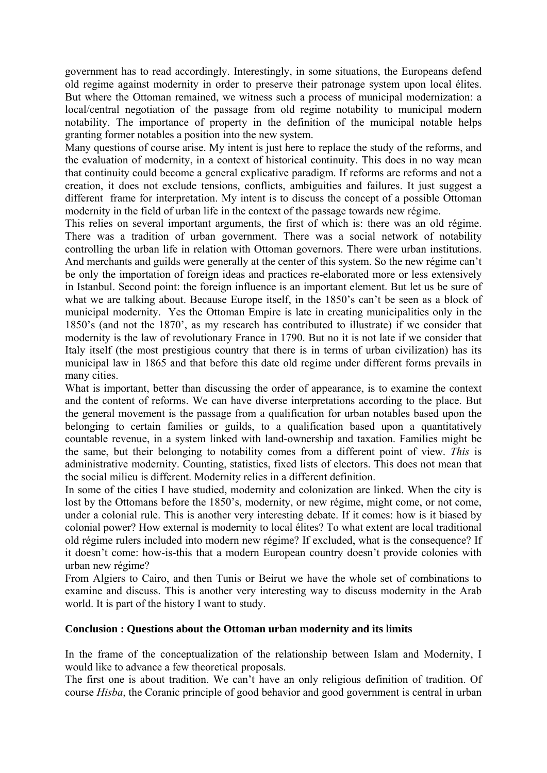government has to read accordingly. Interestingly, in some situations, the Europeans defend old regime against modernity in order to preserve their patronage system upon local élites. But where the Ottoman remained, we witness such a process of municipal modernization: a local/central negotiation of the passage from old regime notability to municipal modern notability. The importance of property in the definition of the municipal notable helps granting former notables a position into the new system.

Many questions of course arise. My intent is just here to replace the study of the reforms, and the evaluation of modernity, in a context of historical continuity. This does in no way mean that continuity could become a general explicative paradigm. If reforms are reforms and not a creation, it does not exclude tensions, conflicts, ambiguities and failures. It just suggest a different frame for interpretation. My intent is to discuss the concept of a possible Ottoman modernity in the field of urban life in the context of the passage towards new régime.

This relies on several important arguments, the first of which is: there was an old régime. There was a tradition of urban government. There was a social network of notability controlling the urban life in relation with Ottoman governors. There were urban institutions. And merchants and guilds were generally at the center of this system. So the new régime can't be only the importation of foreign ideas and practices re-elaborated more or less extensively in Istanbul. Second point: the foreign influence is an important element. But let us be sure of what we are talking about. Because Europe itself, in the 1850's can't be seen as a block of municipal modernity. Yes the Ottoman Empire is late in creating municipalities only in the 1850's (and not the 1870', as my research has contributed to illustrate) if we consider that modernity is the law of revolutionary France in 1790. But no it is not late if we consider that Italy itself (the most prestigious country that there is in terms of urban civilization) has its municipal law in 1865 and that before this date old regime under different forms prevails in many cities.

What is important, better than discussing the order of appearance, is to examine the context and the content of reforms. We can have diverse interpretations according to the place. But the general movement is the passage from a qualification for urban notables based upon the belonging to certain families or guilds, to a qualification based upon a quantitatively countable revenue, in a system linked with land-ownership and taxation. Families might be the same, but their belonging to notability comes from a different point of view. *This* is administrative modernity. Counting, statistics, fixed lists of electors. This does not mean that the social milieu is different. Modernity relies in a different definition.

In some of the cities I have studied, modernity and colonization are linked. When the city is lost by the Ottomans before the 1850's, modernity, or new régime, might come, or not come, under a colonial rule. This is another very interesting debate. If it comes: how is it biased by colonial power? How external is modernity to local élites? To what extent are local traditional old régime rulers included into modern new régime? If excluded, what is the consequence? If it doesn't come: how-is-this that a modern European country doesn't provide colonies with urban new régime?

From Algiers to Cairo, and then Tunis or Beirut we have the whole set of combinations to examine and discuss. This is another very interesting way to discuss modernity in the Arab world. It is part of the history I want to study.

#### **Conclusion : Questions about the Ottoman urban modernity and its limits**

In the frame of the conceptualization of the relationship between Islam and Modernity, I would like to advance a few theoretical proposals.

The first one is about tradition. We can't have an only religious definition of tradition. Of course *Hisba*, the Coranic principle of good behavior and good government is central in urban